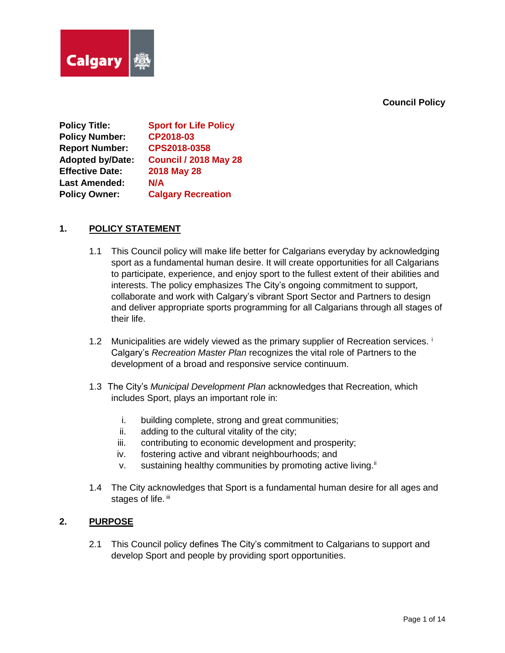## **Council Policy**



**Policy Title: Sport for Life Policy Policy Number: CP2018-03 Report Number: CPS2018-0358 Adopted by/Date: Council / 2018 May 28 Effective Date: 2018 May 28 Last Amended: N/A Policy Owner: Calgary Recreation**

# **1. POLICY STATEMENT**

- 1.1 This Council policy will make life better for Calgarians everyday by acknowledging sport as a fundamental human desire. It will create opportunities for all Calgarians to participate, experience, and enjoy sport to the fullest extent of their abilities and interests. The policy emphasizes The City's ongoing commitment to support, collaborate and work with Calgary's vibrant Sport Sector and Partners to design and deliver appropriate sports programming for all Calgarians through all stages of their life.
- 1.2 Municipalities are widely viewed as the primary supplier of Recreation services. Calgary's *Recreation Master Plan* recognizes the vital role of Partners to the development of a broad and responsive service continuum.
- 1.3 The City's *Municipal Development Plan* acknowledges that Recreation, which includes Sport, plays an important role in:
	- i. building complete, strong and great communities;
	- ii. adding to the cultural vitality of the city;
	- iii. contributing to economic development and prosperity;
	- iv. fostering active and vibrant neighbourhoods; and
	- v. sustaining healthy communities by promoting active living.<sup>ii</sup>
- 1.4 The City acknowledges that Sport is a fundamental human desire for all ages and stages of life. iii

# **2. PURPOSE**

2.1 This Council policy defines The City's commitment to Calgarians to support and develop Sport and people by providing sport opportunities.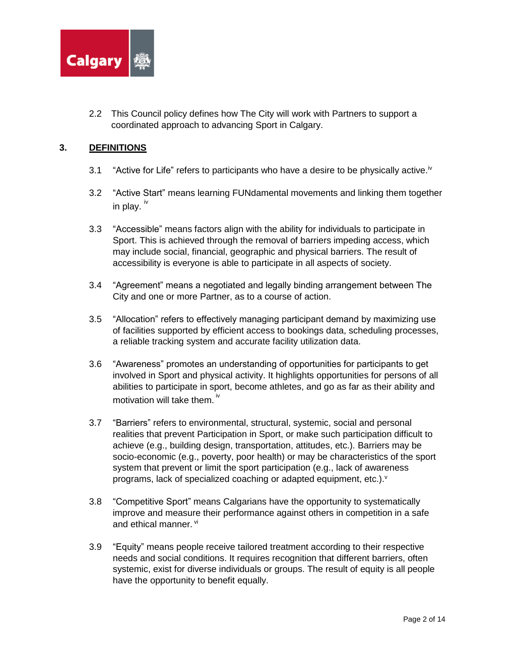

2.2 This Council policy defines how The City will work with Partners to support a coordinated approach to advancing Sport in Calgary.

# **3. DEFINITIONS**

- 3.1 "Active for Life" refers to participants who have a desire to be physically active.<sup>iv</sup>
- 3.2 "Active Start" means learning FUNdamental movements and linking them together in play.  $iv$
- 3.3 "Accessible" means factors align with the ability for individuals to participate in Sport. This is achieved through the removal of barriers impeding access, which may include social, financial, geographic and physical barriers. The result of accessibility is everyone is able to participate in all aspects of society.
- 3.4 "Agreement" means a negotiated and legally binding arrangement between The City and one or more Partner, as to a course of action.
- 3.5 "Allocation" refers to effectively managing participant demand by maximizing use of facilities supported by efficient access to bookings data, scheduling processes, a reliable tracking system and accurate facility utilization data.
- 3.6 "Awareness" promotes an understanding of opportunities for participants to get involved in Sport and physical activity. It highlights opportunities for persons of all abilities to participate in sport, become athletes, and go as far as their ability and motivation will take them.<sup>iv</sup>
- 3.7 "Barriers" refers to environmental, structural, systemic, social and personal realities that prevent Participation in Sport, or make such participation difficult to achieve (e.g., building design, transportation, attitudes, etc.). Barriers may be socio-economic (e.g., poverty, poor health) or may be characteristics of the sport system that prevent or limit the sport participation (e.g., lack of awareness programs, lack of specialized coaching or adapted equipment, etc.).<sup>v</sup>
- 3.8 "Competitive Sport" means Calgarians have the opportunity to systematically improve and measure their performance against others in competition in a safe and ethical manner. vi
- 3.9 "Equity" means people receive tailored treatment according to their respective needs and social conditions. It requires recognition that different barriers, often systemic, exist for diverse individuals or groups. The result of equity is all people have the opportunity to benefit equally.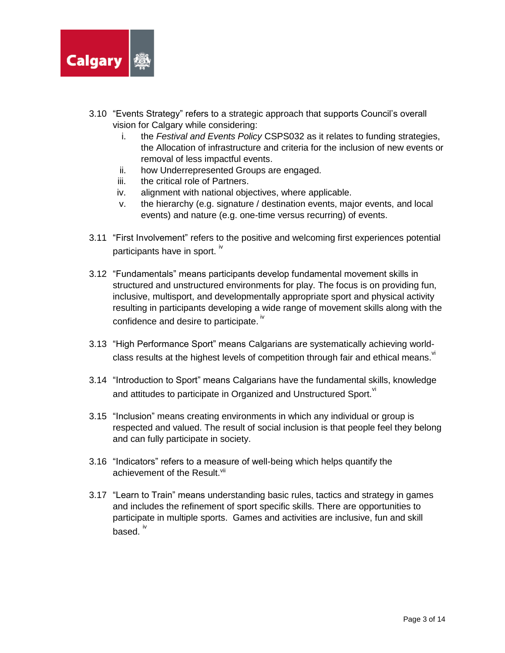

- 3.10 "Events Strategy" refers to a strategic approach that supports Council's overall vision for Calgary while considering:
	- i. the *Festival and Events Policy* CSPS032 as it relates to funding strategies, the Allocation of infrastructure and criteria for the inclusion of new events or removal of less impactful events.
	- ii. how Underrepresented Groups are engaged.
	- iii. the critical role of Partners.
	- iv. alignment with national objectives, where applicable.
	- v. the hierarchy (e.g. signature / destination events, major events, and local events) and nature (e.g. one-time versus recurring) of events.
- 3.11 "First Involvement" refers to the positive and welcoming first experiences potential participants have in sport. <sup>iv</sup>
- 3.12 "Fundamentals" means participants develop fundamental movement skills in structured and unstructured environments for play. The focus is on providing fun, inclusive, multisport, and developmentally appropriate sport and physical activity resulting in participants developing a wide range of movement skills along with the confidence and desire to participate.  $\dot{v}$
- 3.13 "High Performance Sport" means Calgarians are systematically achieving worldclass results at the highest levels of competition through fair and ethical means.
- 3.14 "Introduction to Sport" means Calgarians have the fundamental skills, knowledge and attitudes to participate in Organized and Unstructured Sport. "
- 3.15 "Inclusion" means creating environments in which any individual or group is respected and valued. The result of social inclusion is that people feel they belong and can fully participate in society.
- 3.16 "Indicators" refers to a measure of well-being which helps quantify the achievement of the Result.<sup>vii</sup>
- 3.17 "Learn to Train" means understanding basic rules, tactics and strategy in games and includes the refinement of sport specific skills. There are opportunities to participate in multiple sports. Games and activities are inclusive, fun and skill based.  $\overline{w}$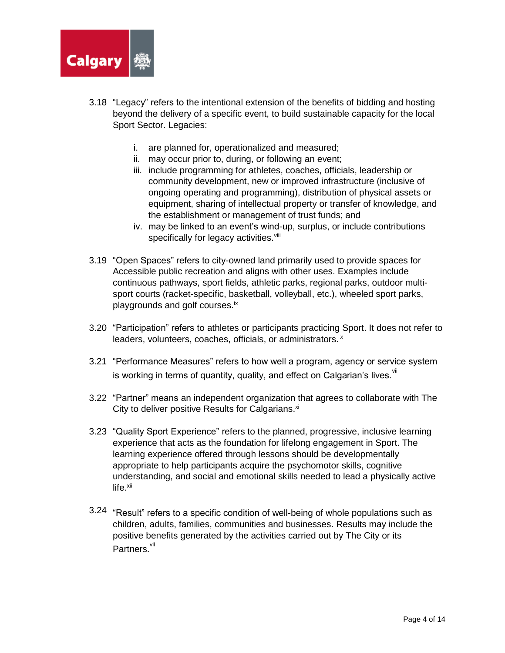

- 3.18 "Legacy" refers to the intentional extension of the benefits of bidding and hosting beyond the delivery of a specific event, to build sustainable capacity for the local Sport Sector. Legacies:
	- i. are planned for, operationalized and measured;
	- ii. may occur prior to, during, or following an event;
	- iii. include programming for athletes, coaches, officials, leadership or community development, new or improved infrastructure (inclusive of ongoing operating and programming), distribution of physical assets or equipment, sharing of intellectual property or transfer of knowledge, and the establishment or management of trust funds; and
	- iv. may be linked to an event's wind-up, surplus, or include contributions specifically for legacy activities.<sup>viii</sup>
- 3.19 "Open Spaces" refers to city-owned land primarily used to provide spaces for Accessible public recreation and aligns with other uses. Examples include continuous pathways, sport fields, athletic parks, regional parks, outdoor multisport courts (racket-specific, basketball, volleyball, etc.), wheeled sport parks, playgrounds and golf courses.ix
- 3.20 "Participation" refers to athletes or participants practicing Sport. It does not refer to leaders, volunteers, coaches, officials, or administrators. x
- 3.21 "Performance Measures" refers to how well a program, agency or service system is working in terms of quantity, quality, and effect on Calgarian's lives.  $W$
- 3.22 "Partner" means an independent organization that agrees to collaborate with The City to deliver positive Results for Calgarians.<sup>xi</sup>
- 3.23 "Quality Sport Experience" refers to the planned, progressive, inclusive learning experience that acts as the foundation for lifelong engagement in Sport. The learning experience offered through lessons should be developmentally appropriate to help participants acquire the psychomotor skills, cognitive understanding, and social and emotional skills needed to lead a physically active  $life.$  $xii$
- 3.24 "Result" refers to a specific condition of well-being of whole populations such as children, adults, families, communities and businesses. Results may include the positive benefits generated by the activities carried out by The City or its Partners.<sup>vii</sup>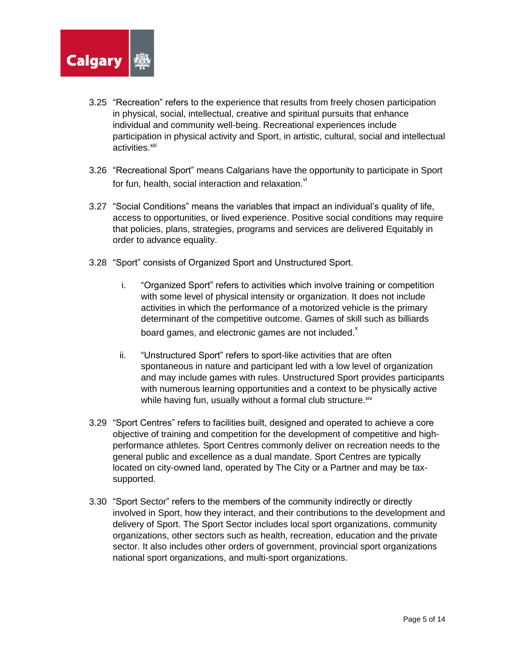

- 3.25 "Recreation" refers to the experience that results from freely chosen participation in physical, social, intellectual, creative and spiritual pursuits that enhance individual and community well-being. Recreational experiences include participation in physical activity and Sport, in artistic, cultural, social and intellectual activities.<sup>xiii</sup>
- 3.26 "Recreational Sport" means Calgarians have the opportunity to participate in Sport for fun, health, social interaction and relaxation.<sup>vi</sup>
- 3.27 "Social Conditions" means the variables that impact an individual's quality of life, access to opportunities, or lived experience. Positive social conditions may require that policies, plans, strategies, programs and services are delivered Equitably in order to advance equality.
- 3.28 "Sport" consists of Organized Sport and Unstructured Sport.
	- i. "Organized Sport" refers to activities which involve training or competition with some level of physical intensity or organization. It does not include activities in which the performance of a motorized vehicle is the primary determinant of the competitive outcome. Games of skill such as billiards board games, and electronic games are not included. $^{x}$
	- ii. "Unstructured Sport" refers to sport-like activities that are often spontaneous in nature and participant led with a low level of organization and may include games with rules. Unstructured Sport provides participants with numerous learning opportunities and a context to be physically active while having fun, usually without a formal club structure. Xiv
- 3.29 "Sport Centres" refers to facilities built, designed and operated to achieve a core objective of training and competition for the development of competitive and highperformance athletes. Sport Centres commonly deliver on recreation needs to the general public and excellence as a dual mandate. Sport Centres are typically located on city-owned land, operated by The City or a Partner and may be taxsupported.
- 3.30 "Sport Sector" refers to the members of the community indirectly or directly involved in Sport, how they interact, and their contributions to the development and delivery of Sport. The Sport Sector includes local sport organizations, community organizations, other sectors such as health, recreation, education and the private sector. It also includes other orders of government, provincial sport organizations national sport organizations, and multi-sport organizations.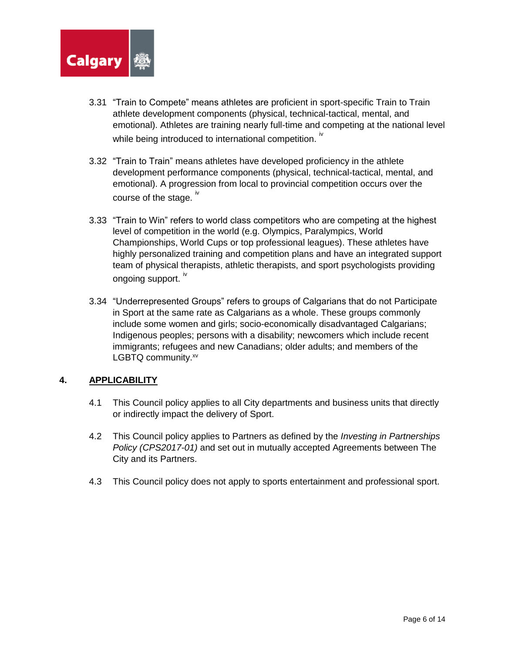

- 3.31 "Train to Compete" means athletes are proficient in sport-specific Train to Train athlete development components (physical, technical-tactical, mental, and emotional). Athletes are training nearly full-time and competing at the national level while being introduced to international competition.  $\dot{N}$
- 3.32 "Train to Train" means athletes have developed proficiency in the athlete development performance components (physical, technical-tactical, mental, and emotional). A progression from local to provincial competition occurs over the course of the stage. iv
- 3.33 "Train to Win" refers to world class competitors who are competing at the highest level of competition in the world (e.g. Olympics, Paralympics, World Championships, World Cups or top professional leagues). These athletes have highly personalized training and competition plans and have an integrated support team of physical therapists, athletic therapists, and sport psychologists providing ongoing support. IV
- 3.34 "Underrepresented Groups" refers to groups of Calgarians that do not Participate in Sport at the same rate as Calgarians as a whole. These groups commonly include some women and girls; socio-economically disadvantaged Calgarians; Indigenous peoples; persons with a disability; newcomers which include recent immigrants; refugees and new Canadians; older adults; and members of the LGBTQ community.xv

# **4. APPLICABILITY**

- 4.1 This Council policy applies to all City departments and business units that directly or indirectly impact the delivery of Sport.
- 4.2 This Council policy applies to Partners as defined by the *Investing in Partnerships Policy (CPS2017-01)* and set out in mutually accepted Agreements between The City and its Partners.
- 4.3 This Council policy does not apply to sports entertainment and professional sport.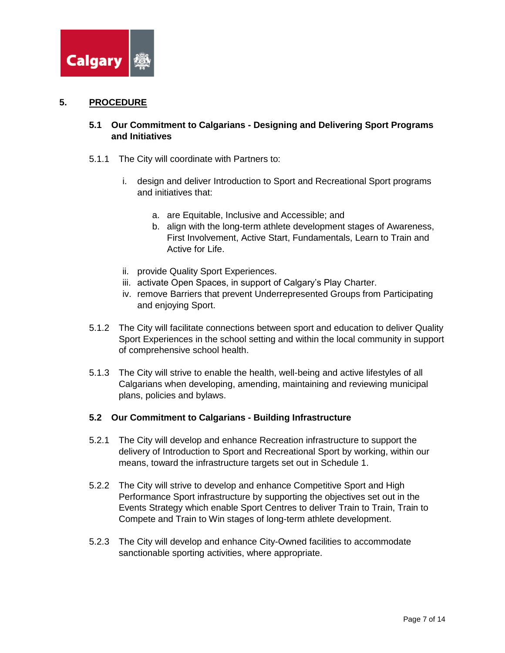

#### **5. PROCEDURE**

# **5.1 Our Commitment to Calgarians - Designing and Delivering Sport Programs and Initiatives**

- 5.1.1 The City will coordinate with Partners to:
	- i. design and deliver Introduction to Sport and Recreational Sport programs and initiatives that:
		- a. are Equitable, Inclusive and Accessible; and
		- b. align with the long-term athlete development stages of Awareness, First Involvement, Active Start, Fundamentals, Learn to Train and Active for Life.
	- ii. provide Quality Sport Experiences.
	- iii. activate Open Spaces, in support of Calgary's Play Charter.
	- iv. remove Barriers that prevent Underrepresented Groups from Participating and enjoying Sport.
- 5.1.2 The City will facilitate connections between sport and education to deliver Quality Sport Experiences in the school setting and within the local community in support of comprehensive school health.
- 5.1.3 The City will strive to enable the health, well-being and active lifestyles of all Calgarians when developing, amending, maintaining and reviewing municipal plans, policies and bylaws.

# **5.2 Our Commitment to Calgarians - Building Infrastructure**

- 5.2.1 The City will develop and enhance Recreation infrastructure to support the delivery of Introduction to Sport and Recreational Sport by working, within our means, toward the infrastructure targets set out in Schedule 1.
- 5.2.2 The City will strive to develop and enhance Competitive Sport and High Performance Sport infrastructure by supporting the objectives set out in the Events Strategy which enable Sport Centres to deliver Train to Train, Train to Compete and Train to Win stages of long-term athlete development.
- 5.2.3 The City will develop and enhance City-Owned facilities to accommodate sanctionable sporting activities, where appropriate.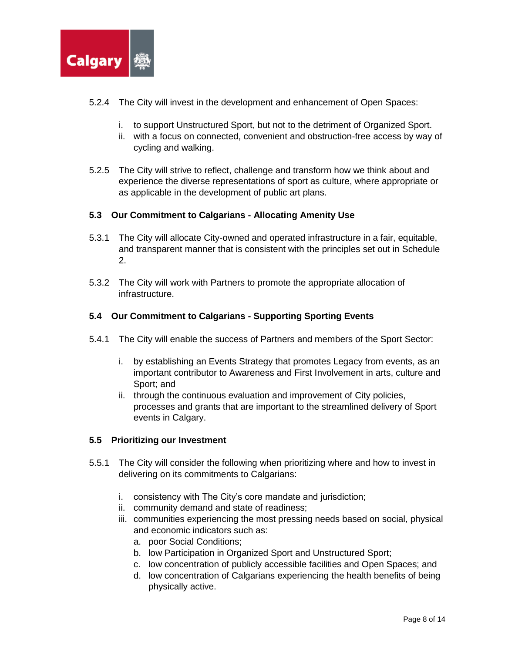

- 5.2.4 The City will invest in the development and enhancement of Open Spaces:
	- i. to support Unstructured Sport, but not to the detriment of Organized Sport.
	- ii. with a focus on connected, convenient and obstruction-free access by way of cycling and walking.
- 5.2.5 The City will strive to reflect, challenge and transform how we think about and experience the diverse representations of sport as culture, where appropriate or as applicable in the development of public art plans.

## **5.3 Our Commitment to Calgarians - Allocating Amenity Use**

- 5.3.1 The City will allocate City-owned and operated infrastructure in a fair, equitable, and transparent manner that is consistent with the principles set out in Schedule 2.
- 5.3.2 The City will work with Partners to promote the appropriate allocation of infrastructure.

## **5.4 Our Commitment to Calgarians - Supporting Sporting Events**

- 5.4.1 The City will enable the success of Partners and members of the Sport Sector:
	- i. by establishing an Events Strategy that promotes Legacy from events, as an important contributor to Awareness and First Involvement in arts, culture and Sport; and
	- ii. through the continuous evaluation and improvement of City policies, processes and grants that are important to the streamlined delivery of Sport events in Calgary.

#### **5.5 Prioritizing our Investment**

- 5.5.1 The City will consider the following when prioritizing where and how to invest in delivering on its commitments to Calgarians:
	- i. consistency with The City's core mandate and jurisdiction;
	- ii. community demand and state of readiness;
	- iii. communities experiencing the most pressing needs based on social, physical and economic indicators such as:
		- a. poor Social Conditions;
		- b. low Participation in Organized Sport and Unstructured Sport;
		- c. low concentration of publicly accessible facilities and Open Spaces; and
		- d. low concentration of Calgarians experiencing the health benefits of being physically active.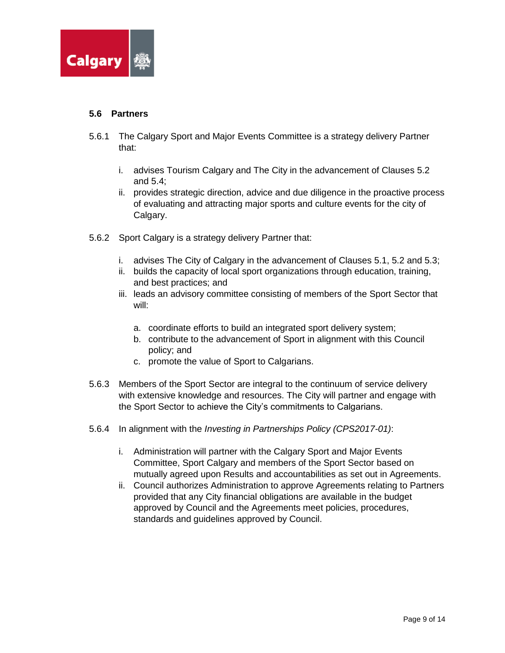

## **5.6 Partners**

- 5.6.1 The Calgary Sport and Major Events Committee is a strategy delivery Partner that:
	- i. advises Tourism Calgary and The City in the advancement of Clauses 5.2 and 5.4;
	- ii. provides strategic direction, advice and due diligence in the proactive process of evaluating and attracting major sports and culture events for the city of Calgary.
- 5.6.2 Sport Calgary is a strategy delivery Partner that:
	- i. advises The City of Calgary in the advancement of Clauses 5.1, 5.2 and 5.3;
	- ii. builds the capacity of local sport organizations through education, training, and best practices; and
	- iii. leads an advisory committee consisting of members of the Sport Sector that will:
		- a. coordinate efforts to build an integrated sport delivery system;
		- b. contribute to the advancement of Sport in alignment with this Council policy; and
		- c. promote the value of Sport to Calgarians.
- 5.6.3 Members of the Sport Sector are integral to the continuum of service delivery with extensive knowledge and resources. The City will partner and engage with the Sport Sector to achieve the City's commitments to Calgarians.
- 5.6.4 In alignment with the *Investing in Partnerships Policy (CPS2017-01)*:
	- i. Administration will partner with the Calgary Sport and Major Events Committee, Sport Calgary and members of the Sport Sector based on mutually agreed upon Results and accountabilities as set out in Agreements.
	- ii. Council authorizes Administration to approve Agreements relating to Partners provided that any City financial obligations are available in the budget approved by Council and the Agreements meet policies, procedures, standards and guidelines approved by Council.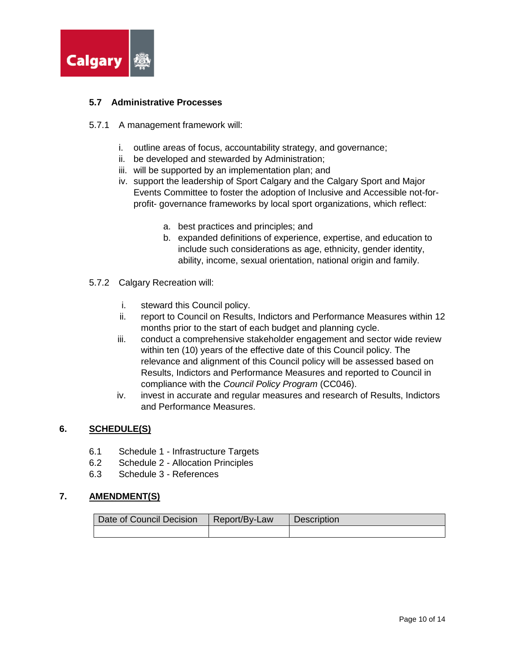

# **5.7 Administrative Processes**

#### 5.7.1 A management framework will:

- i. outline areas of focus, accountability strategy, and governance;
- ii. be developed and stewarded by Administration;
- iii. will be supported by an implementation plan; and
- iv. support the leadership of Sport Calgary and the Calgary Sport and Major Events Committee to foster the adoption of Inclusive and Accessible not-forprofit- governance frameworks by local sport organizations, which reflect:
	- a. best practices and principles; and
	- b. expanded definitions of experience, expertise, and education to include such considerations as age, ethnicity, gender identity, ability, income, sexual orientation, national origin and family.
- 5.7.2 Calgary Recreation will:
	- i. steward this Council policy.
	- ii. report to Council on Results, Indictors and Performance Measures within 12 months prior to the start of each budget and planning cycle.
	- iii. conduct a comprehensive stakeholder engagement and sector wide review within ten (10) years of the effective date of this Council policy. The relevance and alignment of this Council policy will be assessed based on Results, Indictors and Performance Measures and reported to Council in compliance with the *Council Policy Program* (CC046).
	- iv. invest in accurate and regular measures and research of Results, Indictors and Performance Measures.

#### **6. SCHEDULE(S)**

- 6.1 Schedule 1 Infrastructure Targets
- 6.2 Schedule 2 Allocation Principles
- 6.3 Schedule 3 References

# **7. AMENDMENT(S)**

| Date of Council Decision | Report/By-Law | <b>Description</b> |
|--------------------------|---------------|--------------------|
|                          |               |                    |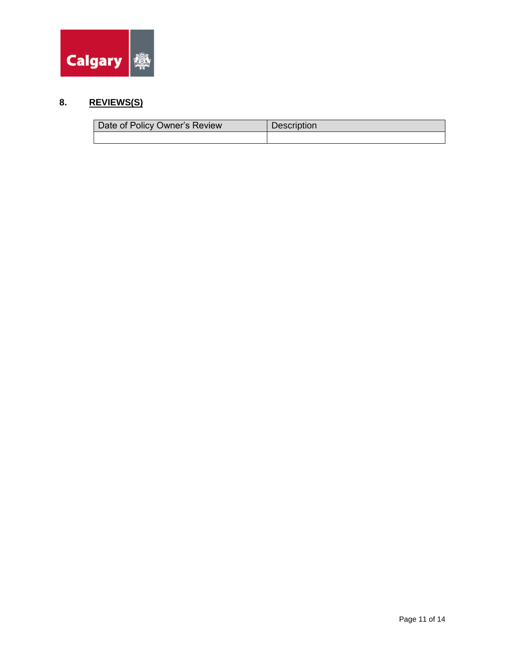

# **8. REVIEWS(S)**

| Date of Policy Owner's Review | <b>Description</b> |
|-------------------------------|--------------------|
|                               |                    |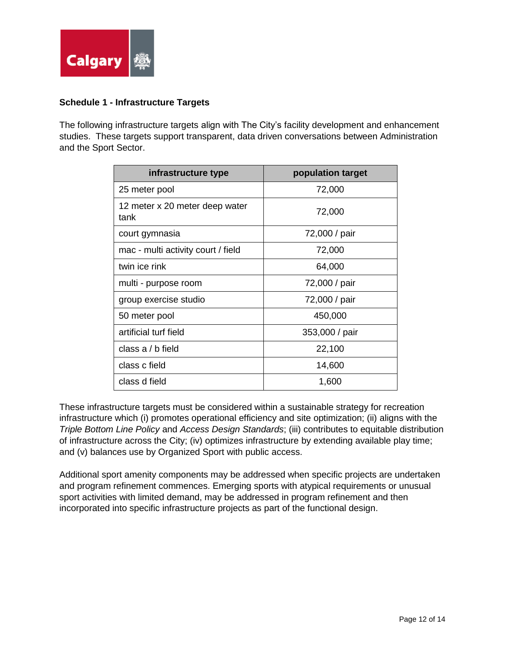

# **Schedule 1 - Infrastructure Targets**

The following infrastructure targets align with The City's facility development and enhancement studies. These targets support transparent, data driven conversations between Administration and the Sport Sector.

| infrastructure type                    | population target |
|----------------------------------------|-------------------|
| 25 meter pool                          | 72,000            |
| 12 meter x 20 meter deep water<br>tank | 72,000            |
| court gymnasia                         | 72,000 / pair     |
| mac - multi activity court / field     | 72,000            |
| twin ice rink                          | 64,000            |
| multi - purpose room                   | 72,000 / pair     |
| group exercise studio                  | 72,000 / pair     |
| 50 meter pool                          | 450,000           |
| artificial turf field                  | 353,000 / pair    |
| class a $/$ b field                    | 22,100            |
| class c field                          | 14,600            |
| class d field                          | 1,600             |

These infrastructure targets must be considered within a sustainable strategy for recreation infrastructure which (i) promotes operational efficiency and site optimization; (ii) aligns with the *Triple Bottom Line Policy* and *Access Design Standards*; (iii) contributes to equitable distribution of infrastructure across the City; (iv) optimizes infrastructure by extending available play time; and (v) balances use by Organized Sport with public access.

Additional sport amenity components may be addressed when specific projects are undertaken and program refinement commences. Emerging sports with atypical requirements or unusual sport activities with limited demand, may be addressed in program refinement and then incorporated into specific infrastructure projects as part of the functional design.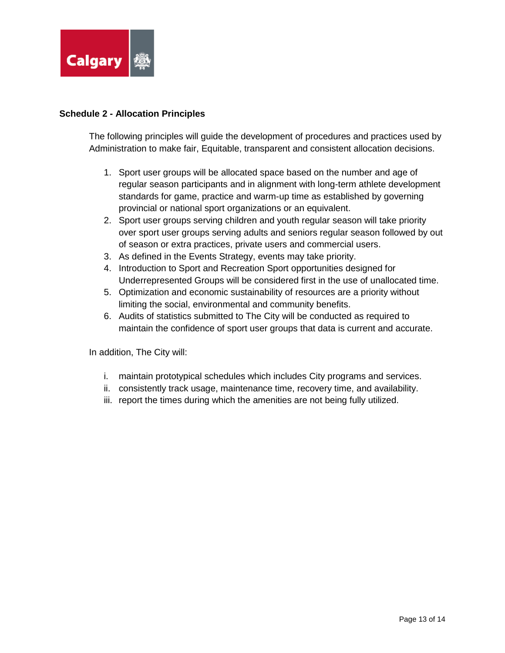

## **Schedule 2 - Allocation Principles**

The following principles will guide the development of procedures and practices used by Administration to make fair, Equitable, transparent and consistent allocation decisions.

- 1. Sport user groups will be allocated space based on the number and age of regular season participants and in alignment with long-term athlete development standards for game, practice and warm-up time as established by governing provincial or national sport organizations or an equivalent.
- 2. Sport user groups serving children and youth regular season will take priority over sport user groups serving adults and seniors regular season followed by out of season or extra practices, private users and commercial users.
- 3. As defined in the Events Strategy, events may take priority.
- 4. Introduction to Sport and Recreation Sport opportunities designed for Underrepresented Groups will be considered first in the use of unallocated time.
- 5. Optimization and economic sustainability of resources are a priority without limiting the social, environmental and community benefits.
- 6. Audits of statistics submitted to The City will be conducted as required to maintain the confidence of sport user groups that data is current and accurate.

In addition, The City will:

- i. maintain prototypical schedules which includes City programs and services.
- ii. consistently track usage, maintenance time, recovery time, and availability.
- iii. report the times during which the amenities are not being fully utilized.